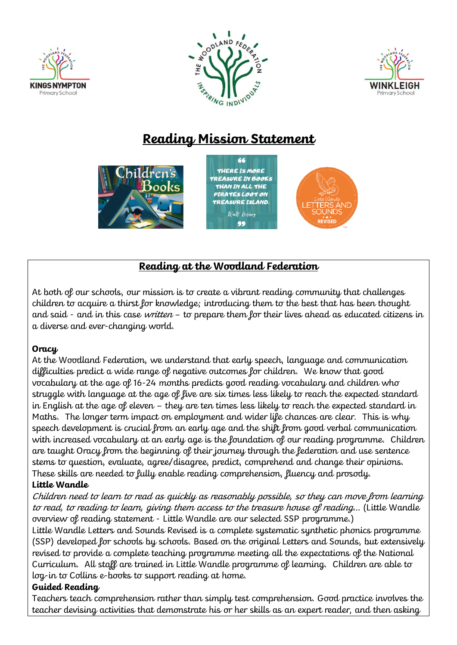





# **Reading Mission Statement**



## **Reading at the Woodland Federation**

At both of our schools, our mission is to create a vibrant reading community that challenges children to acquire a thirst for knowledge; introducing them to the best that has been thought and said - and in this case *written* – to prepare them for their lives ahead as educated citizens in a diverse and ever-changing world.

#### **Oracy**

At the Woodland Federation, we understand that early speech, language and communication difficulties predict a wide range of negative outcomes for children. We know that good vocabulary at the age of 16-24 months predicts good reading vocabulary and children who struggle with language at the age of five are six times less likely to reach the expected standard in English at the age of eleven – they are ten times less likely to reach the expected standard in Maths. The longer term impact on employment and wider life chances are clear. This is why speech development is crucial from an early age and the shift from good verbal communication with increased vocabulary at an early age is the foundation of our reading programme. Children are taught Oracy from the beginning of their journey through the federation and use sentence stems to question, evaluate, agree/disagree, predict, comprehend and change their opinions. These skills are needed to fully enable reading comprehension, fluency and prosody.

#### **Little Wandle**

Children need to learn to read as quickly as reasonably possible, so they can move from learning to read, to reading to learn, giving them access to the treasure house of reading… (Little Wandle overview of reading statement - Little Wandle are our selected SSP programme.)

Little Wandle Letters and Sounds Revised is a complete systematic synthetic phonics programme (SSP) developed for schools by schools. Based on the original Letters and Sounds, but extensively revised to provide a complete teaching programme meeting all the expectations of the National Curriculum. All staff are trained in Little Wandle programme of learning. Children are able to log-in to Collins e-books to support reading at home.

#### **Guided Reading**

Teachers teach comprehension rather than simply test comprehension. Good practice involves the teacher devising activities that demonstrate his or her skills as an expert reader, and then asking